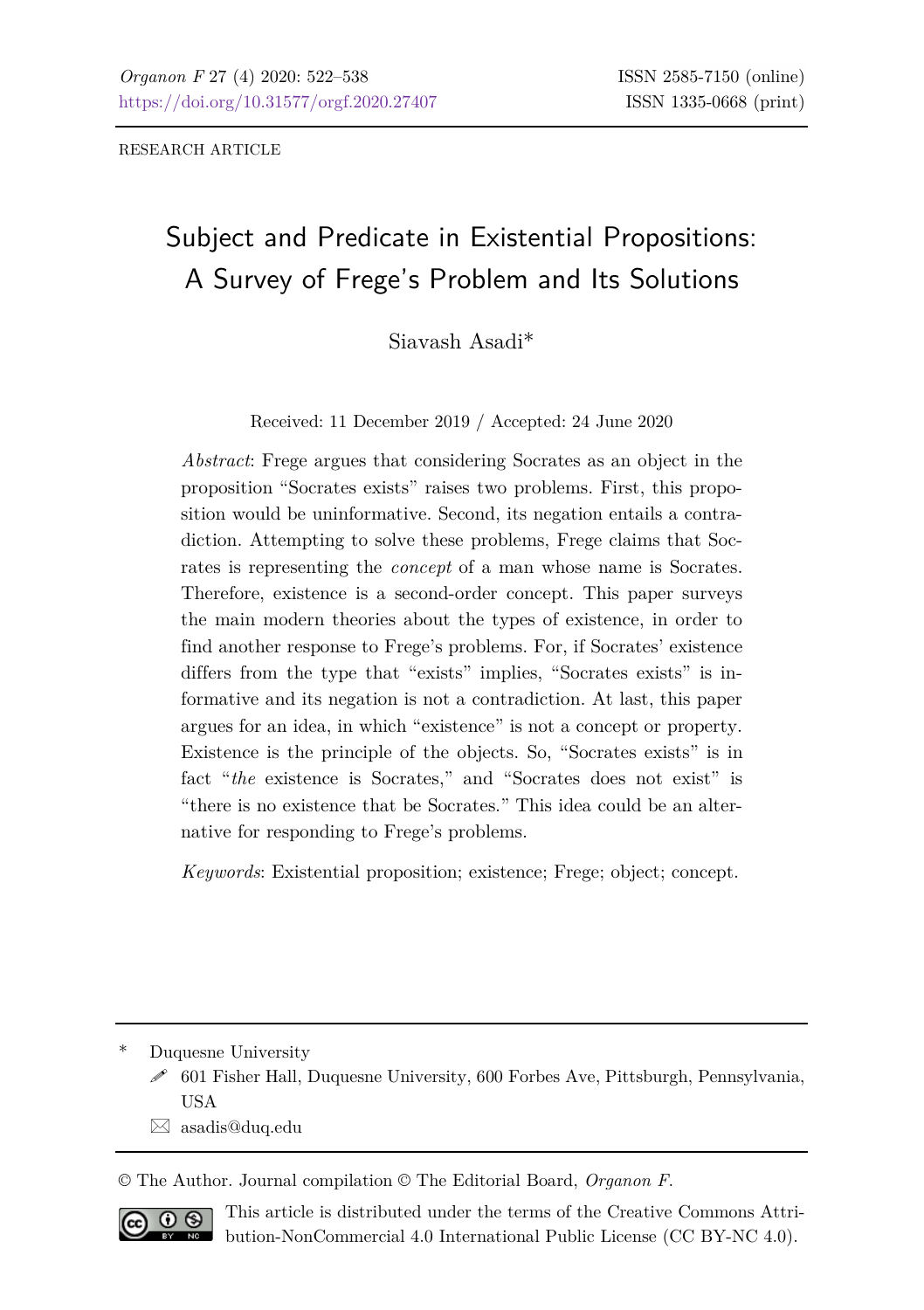RESEARCH ARTICLE

# Subject and Predicate in Existential Propositions: A Survey of Frege's Problem and Its Solutions

Siavash Asadi\*

Received: 11 December 2019 / Accepted: 24 June 2020

*Abstract*: Frege argues that considering Socrates as an object in the proposition "Socrates exists" raises two problems. First, this proposition would be uninformative. Second, its negation entails a contradiction. Attempting to solve these problems, Frege claims that Socrates is representing the *concept* of a man whose name is Socrates. Therefore, existence is a second-order concept. This paper surveys the main modern theories about the types of existence, in order to find another response to Frege's problems. For, if Socrates' existence differs from the type that "exists" implies, "Socrates exists" is informative and its negation is not a contradiction. At last, this paper argues for an idea, in which "existence" is not a concept or property. Existence is the principle of the objects. So, "Socrates exists" is in fact "*the* existence is Socrates," and "Socrates does not exist" is "there is no existence that be Socrates." This idea could be an alternative for responding to Frege's problems.

*Keywords*: Existential proposition; existence; Frege; object; concept.

Duquesne University

 $\boxtimes$  [asadis@duq.edu](mailto:asadis@duq.edu)

© The Author. Journal compilation © The Editorial Board, *Organon F*.



This article is distributed under the terms of the Creative Commons Attribution-NonCommercial 4.0 International Public License (CC BY-NC 4.0).

601 Fisher Hall, Duquesne University, 600 Forbes Ave, Pittsburgh, Pennsylvania, USA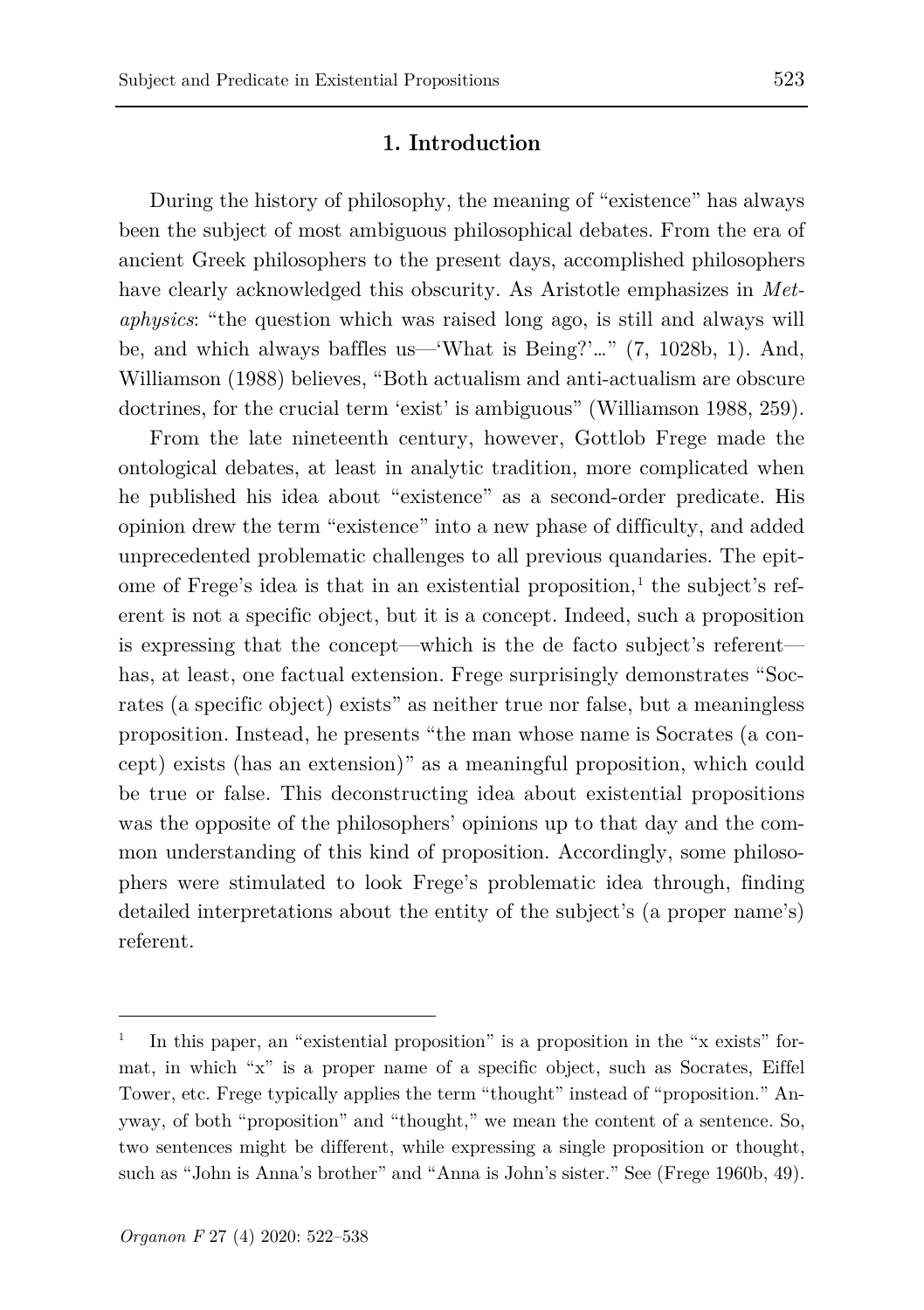### **1. Introduction**

During the history of philosophy, the meaning of "existence" has always been the subject of most ambiguous philosophical debates. From the era of ancient Greek philosophers to the present days, accomplished philosophers have clearly acknowledged this obscurity. As Aristotle emphasizes in *Metaphysics*: "the question which was raised long ago, is still and always will be, and which always baffles us—'What is Being?'…" (7, 1028b, 1). And, Williamson (1988) believes, "Both actualism and anti-actualism are obscure doctrines, for the crucial term 'exist' is ambiguous" (Williamson 1988, 259).

From the late nineteenth century, however, Gottlob Frege made the ontological debates, at least in analytic tradition, more complicated when he published his idea about "existence" as a second-order predicate. His opinion drew the term "existence" into a new phase of difficulty, and added unprecedented problematic challenges to all previous quandaries. The epit-ome of Frege's idea is that in an existential proposition.<sup>[1](#page-1-0)</sup> the subject's referent is not a specific object, but it is a concept. Indeed, such a proposition is expressing that the concept—which is the de facto subject's referent has, at least, one factual extension. Frege surprisingly demonstrates "Socrates (a specific object) exists" as neither true nor false, but a meaningless proposition. Instead, he presents "the man whose name is Socrates (a concept) exists (has an extension)" as a meaningful proposition, which could be true or false. This deconstructing idea about existential propositions was the opposite of the philosophers' opinions up to that day and the common understanding of this kind of proposition. Accordingly, some philosophers were stimulated to look Frege's problematic idea through, finding detailed interpretations about the entity of the subject's (a proper name's) referent.

<span id="page-1-0"></span><sup>1</sup> In this paper, an "existential proposition" is a proposition in the "x exists" format, in which "x" is a proper name of a specific object, such as Socrates, Eiffel Tower, etc. Frege typically applies the term "thought" instead of "proposition." Anyway, of both "proposition" and "thought," we mean the content of a sentence. So, two sentences might be different, while expressing a single proposition or thought, such as "John is Anna's brother" and "Anna is John's sister." See (Frege 1960b, 49).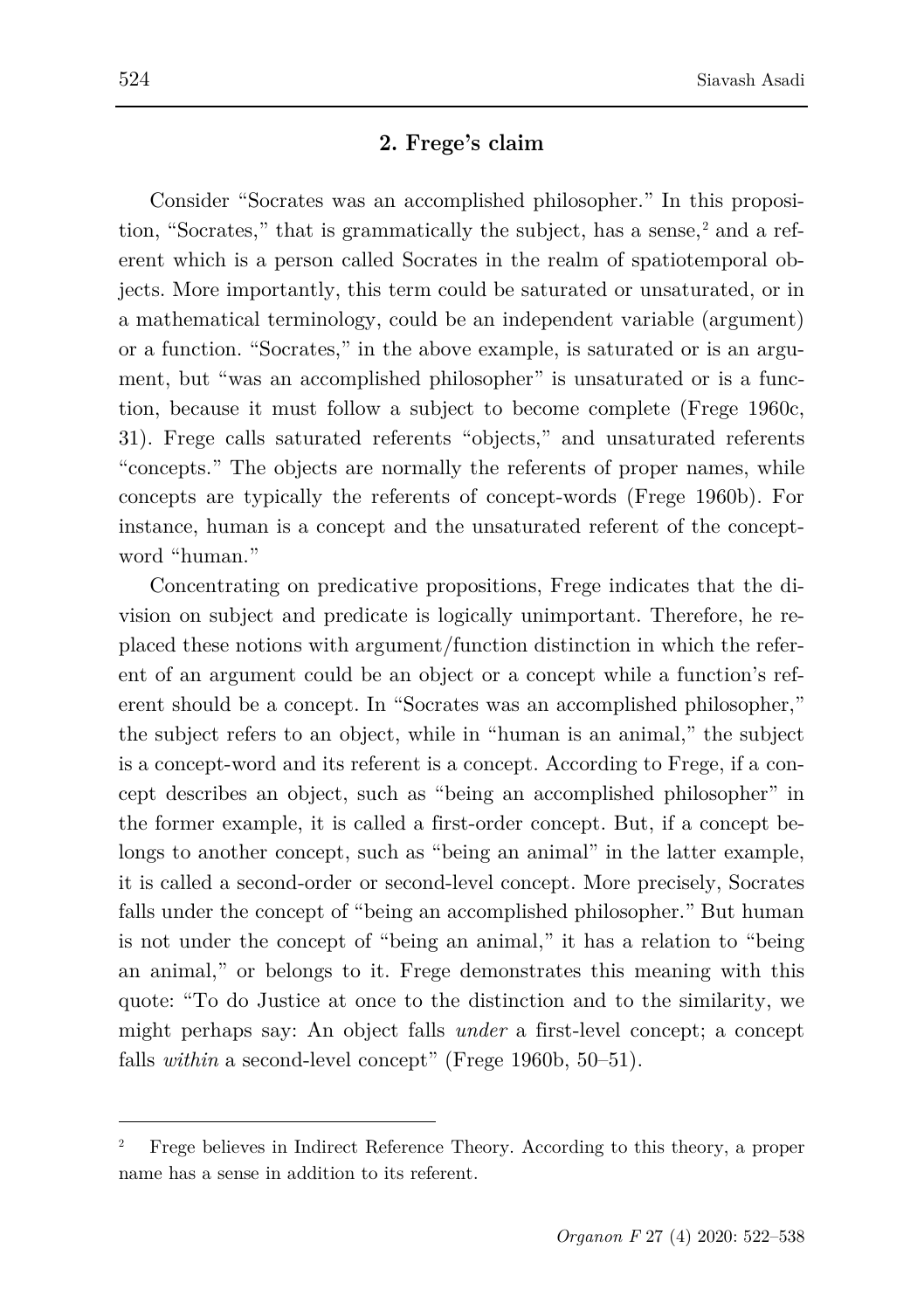### **2. Frege's claim**

Consider "Socrates was an accomplished philosopher." In this proposition, "Socrates," that is grammatically the subject, has a sense, $<sup>2</sup>$  $<sup>2</sup>$  $<sup>2</sup>$  and a ref-</sup> erent which is a person called Socrates in the realm of spatiotemporal objects. More importantly, this term could be saturated or unsaturated, or in a mathematical terminology, could be an independent variable (argument) or a function. "Socrates," in the above example, is saturated or is an argument, but "was an accomplished philosopher" is unsaturated or is a function, because it must follow a subject to become complete (Frege 1960c, 31). Frege calls saturated referents "objects," and unsaturated referents "concepts." The objects are normally the referents of proper names, while concepts are typically the referents of concept-words (Frege 1960b). For instance, human is a concept and the unsaturated referent of the conceptword "human."

Concentrating on predicative propositions, Frege indicates that the division on subject and predicate is logically unimportant. Therefore, he replaced these notions with argument/function distinction in which the referent of an argument could be an object or a concept while a function's referent should be a concept. In "Socrates was an accomplished philosopher," the subject refers to an object, while in "human is an animal," the subject is a concept-word and its referent is a concept. According to Frege, if a concept describes an object, such as "being an accomplished philosopher" in the former example, it is called a first-order concept. But, if a concept belongs to another concept, such as "being an animal" in the latter example, it is called a second-order or second-level concept. More precisely, Socrates falls under the concept of "being an accomplished philosopher." But human is not under the concept of "being an animal," it has a relation to "being an animal," or belongs to it. Frege demonstrates this meaning with this quote: "To do Justice at once to the distinction and to the similarity, we might perhaps say: An object falls *under* a first-level concept; a concept falls *within* a second-level concept" (Frege 1960b, 50–51).

<span id="page-2-0"></span><sup>2</sup> Frege believes in Indirect Reference Theory. According to this theory, a proper name has a sense in addition to its referent.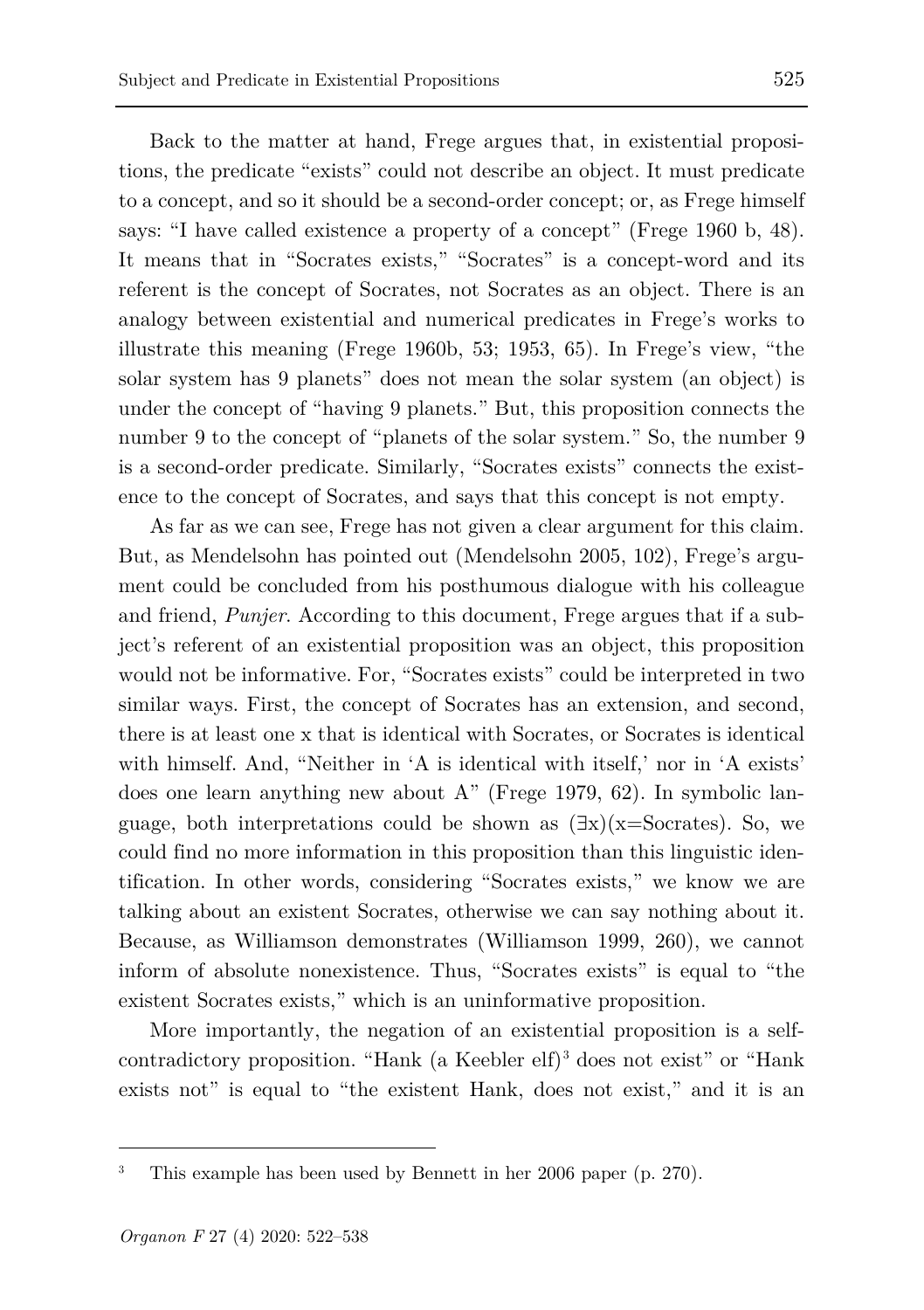Back to the matter at hand, Frege argues that, in existential propositions, the predicate "exists" could not describe an object. It must predicate to a concept, and so it should be a second-order concept; or, as Frege himself says: "I have called existence a property of a concept" (Frege 1960 b, 48). It means that in "Socrates exists," "Socrates" is a concept-word and its referent is the concept of Socrates, not Socrates as an object. There is an analogy between existential and numerical predicates in Frege's works to illustrate this meaning (Frege 1960b, 53; 1953, 65). In Frege's view, "the solar system has 9 planets" does not mean the solar system (an object) is under the concept of "having 9 planets." But, this proposition connects the number 9 to the concept of "planets of the solar system." So, the number 9 is a second-order predicate. Similarly, "Socrates exists" connects the existence to the concept of Socrates, and says that this concept is not empty.

As far as we can see, Frege has not given a clear argument for this claim. But, as Mendelsohn has pointed out (Mendelsohn 2005, 102), Frege's argument could be concluded from his posthumous dialogue with his colleague and friend, *Punjer*. According to this document, Frege argues that if a subject's referent of an existential proposition was an object, this proposition would not be informative. For, "Socrates exists" could be interpreted in two similar ways. First, the concept of Socrates has an extension, and second, there is at least one x that is identical with Socrates, or Socrates is identical with himself. And, "Neither in 'A is identical with itself,' nor in 'A exists' does one learn anything new about A" (Frege 1979, 62). In symbolic language, both interpretations could be shown as  $(\exists x)(x=Socrates)$ . So, we could find no more information in this proposition than this linguistic identification. In other words, considering "Socrates exists," we know we are talking about an existent Socrates, otherwise we can say nothing about it. Because, as Williamson demonstrates (Williamson 1999, 260), we cannot inform of absolute nonexistence. Thus, "Socrates exists" is equal to "the existent Socrates exists," which is an uninformative proposition.

More importantly, the negation of an existential proposition is a selfcontradictory proposition. "Hank (a Keebler elf)[3](#page-3-0) does not exist" or "Hank exists not" is equal to "the existent Hank, does not exist," and it is an

<span id="page-3-0"></span><sup>3</sup> This example has been used by Bennett in her 2006 paper (p. 270).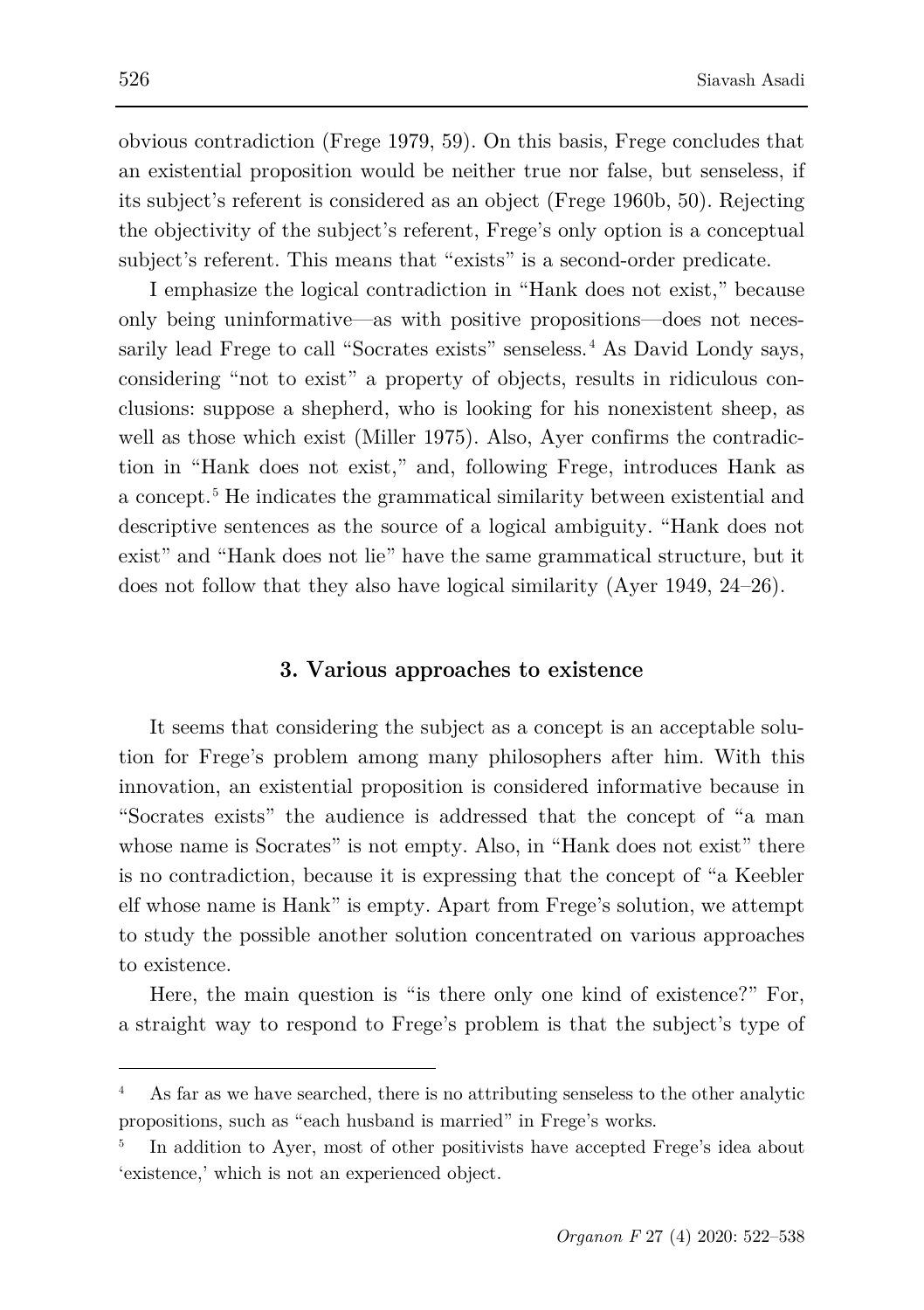obvious contradiction (Frege 1979, 59). On this basis, Frege concludes that an existential proposition would be neither true nor false, but senseless, if its subject's referent is considered as an object (Frege 1960b, 50). Rejecting the objectivity of the subject's referent, Frege's only option is a conceptual subject's referent. This means that "exists" is a second-order predicate.

I emphasize the logical contradiction in "Hank does not exist," because only being uninformative—as with positive propositions—does not neces-sarily lead Frege to call "Socrates exists" senseless.<sup>[4](#page-4-0)</sup> As David Londy says, considering "not to exist" a property of objects, results in ridiculous conclusions: suppose a shepherd, who is looking for his nonexistent sheep, as well as those which exist (Miller 1975). Also, Ayer confirms the contradiction in "Hank does not exist," and, following Frege, introduces Hank as a concept.[5](#page-4-1) He indicates the grammatical similarity between existential and descriptive sentences as the source of a logical ambiguity. "Hank does not exist" and "Hank does not lie" have the same grammatical structure, but it does not follow that they also have logical similarity (Ayer 1949, 24–26).

### **3. Various approaches to existence**

It seems that considering the subject as a concept is an acceptable solution for Frege's problem among many philosophers after him. With this innovation, an existential proposition is considered informative because in "Socrates exists" the audience is addressed that the concept of "a man whose name is Socrates" is not empty. Also, in "Hank does not exist" there is no contradiction, because it is expressing that the concept of "a Keebler elf whose name is Hank" is empty. Apart from Frege's solution, we attempt to study the possible another solution concentrated on various approaches to existence.

Here, the main question is "is there only one kind of existence?" For, a straight way to respond to Frege's problem is that the subject's type of

<span id="page-4-0"></span><sup>4</sup> As far as we have searched, there is no attributing senseless to the other analytic propositions, such as "each husband is married" in Frege's works.

<span id="page-4-1"></span><sup>5</sup> In addition to Ayer, most of other positivists have accepted Frege's idea about 'existence,' which is not an experienced object.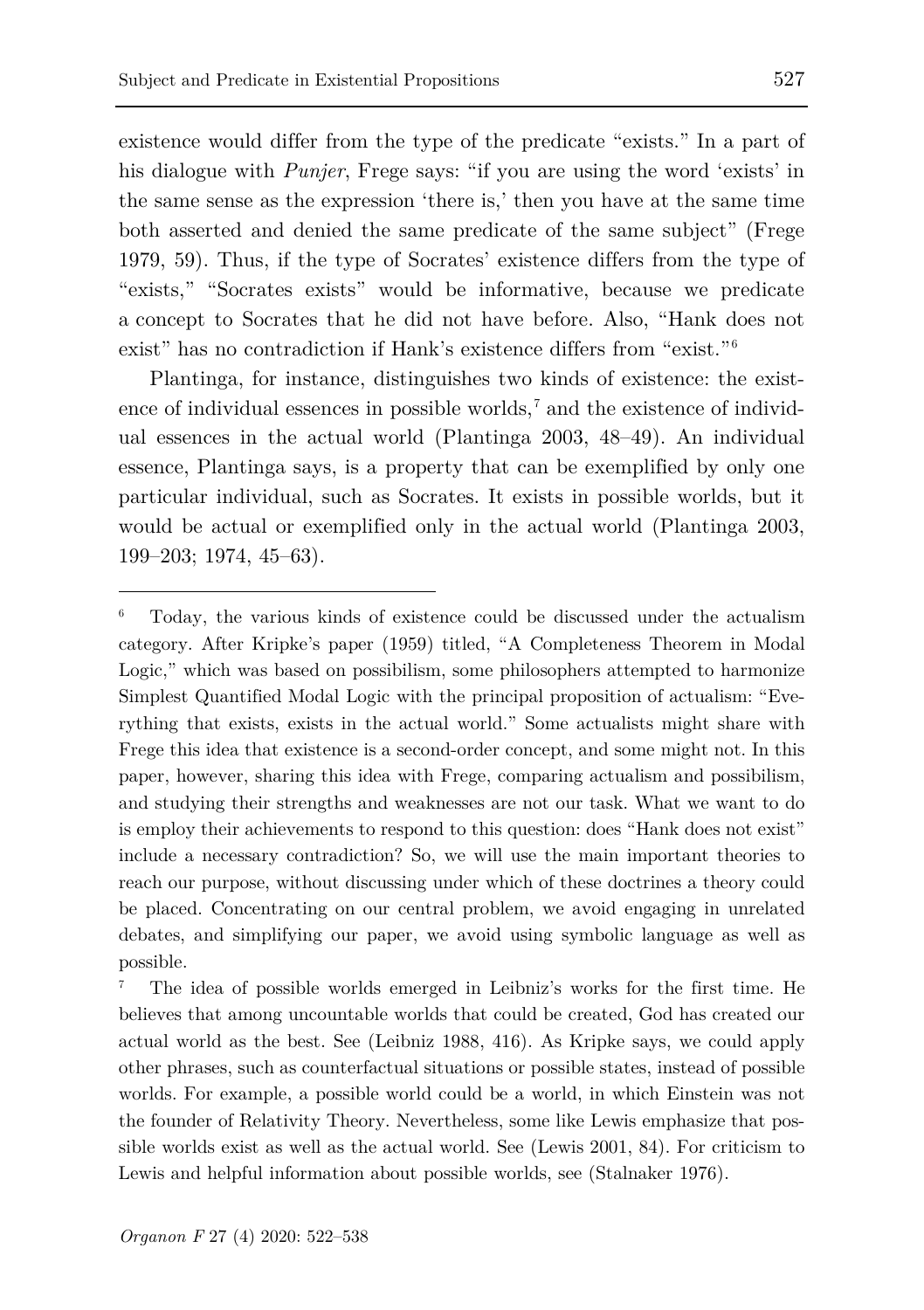existence would differ from the type of the predicate "exists." In a part of his dialogue with *Punjer*, Frege says: "if you are using the word 'exists' in the same sense as the expression 'there is,' then you have at the same time both asserted and denied the same predicate of the same subject" (Frege 1979, 59). Thus, if the type of Socrates' existence differs from the type of "exists," "Socrates exists" would be informative, because we predicate a concept to Socrates that he did not have before. Also, "Hank does not exist" has no contradiction if Hank's existence differs from "exist."<sup>[6](#page-5-0)</sup>

Plantinga, for instance, distinguishes two kinds of existence: the existence of individual essences in possible worlds,<sup> $7$ </sup> and the existence of individual essences in the actual world (Plantinga 2003, 48–49). An individual essence, Plantinga says, is a property that can be exemplified by only one particular individual, such as Socrates. It exists in possible worlds, but it would be actual or exemplified only in the actual world (Plantinga 2003, 199–203; 1974, 45–63).

<span id="page-5-0"></span><sup>6</sup> Today, the various kinds of existence could be discussed under the actualism category. After Kripke's paper (1959) titled, "A Completeness Theorem in Modal Logic," which was based on possibilism, some philosophers attempted to harmonize Simplest Quantified Modal Logic with the principal proposition of actualism: "Everything that exists, exists in the actual world." Some actualists might share with Frege this idea that existence is a second-order concept, and some might not. In this paper, however, sharing this idea with Frege, comparing actualism and possibilism, and studying their strengths and weaknesses are not our task. What we want to do is employ their achievements to respond to this question: does "Hank does not exist" include a necessary contradiction? So, we will use the main important theories to reach our purpose, without discussing under which of these doctrines a theory could be placed. Concentrating on our central problem, we avoid engaging in unrelated debates, and simplifying our paper, we avoid using symbolic language as well as possible.

<span id="page-5-1"></span><sup>7</sup> The idea of possible worlds emerged in Leibniz's works for the first time. He believes that among uncountable worlds that could be created, God has created our actual world as the best. See (Leibniz 1988, 416). As Kripke says, we could apply other phrases, such as counterfactual situations or possible states, instead of possible worlds. For example, a possible world could be a world, in which Einstein was not the founder of Relativity Theory. Nevertheless, some like Lewis emphasize that possible worlds exist as well as the actual world. See (Lewis 2001, 84). For criticism to Lewis and helpful information about possible worlds, see (Stalnaker 1976).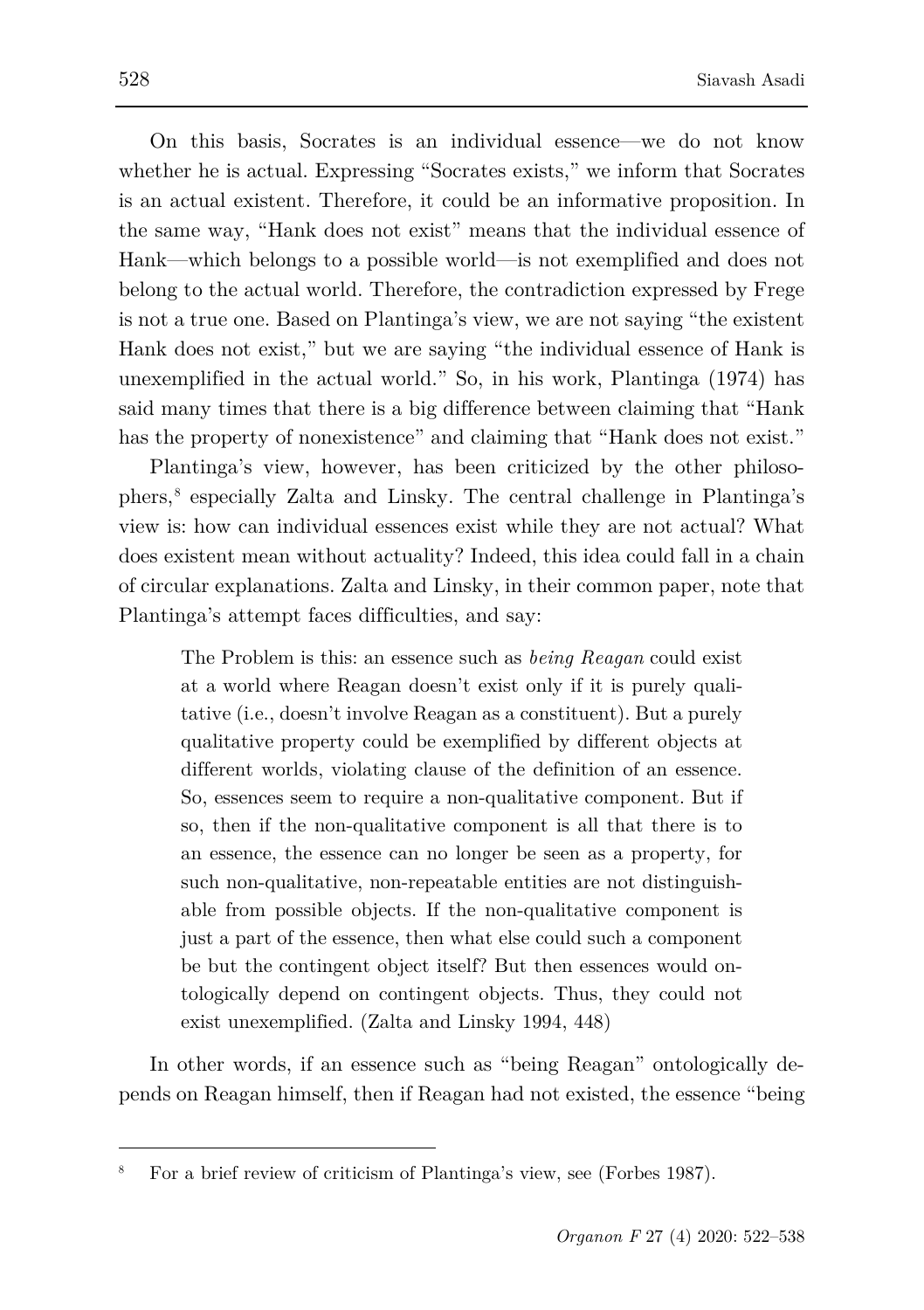On this basis, Socrates is an individual essence—we do not know whether he is actual. Expressing "Socrates exists," we inform that Socrates is an actual existent. Therefore, it could be an informative proposition. In the same way, "Hank does not exist" means that the individual essence of Hank—which belongs to a possible world—is not exemplified and does not belong to the actual world. Therefore, the contradiction expressed by Frege is not a true one. Based on Plantinga's view, we are not saying "the existent Hank does not exist," but we are saying "the individual essence of Hank is unexemplified in the actual world." So, in his work, Plantinga (1974) has said many times that there is a big difference between claiming that "Hank has the property of nonexistence" and claiming that "Hank does not exist."

Plantinga's view, however, has been criticized by the other philosophers,[8](#page-6-0) especially Zalta and Linsky. The central challenge in Plantinga's view is: how can individual essences exist while they are not actual? What does existent mean without actuality? Indeed, this idea could fall in a chain of circular explanations. Zalta and Linsky, in their common paper, note that Plantinga's attempt faces difficulties, and say:

The Problem is this: an essence such as *being Reagan* could exist at a world where Reagan doesn't exist only if it is purely qualitative (i.e., doesn't involve Reagan as a constituent). But a purely qualitative property could be exemplified by different objects at different worlds, violating clause of the definition of an essence. So, essences seem to require a non-qualitative component. But if so, then if the non-qualitative component is all that there is to an essence, the essence can no longer be seen as a property, for such non-qualitative, non-repeatable entities are not distinguishable from possible objects. If the non-qualitative component is just a part of the essence, then what else could such a component be but the contingent object itself? But then essences would ontologically depend on contingent objects. Thus, they could not exist unexemplified. (Zalta and Linsky 1994, 448)

In other words, if an essence such as "being Reagan" ontologically depends on Reagan himself, then if Reagan had not existed, the essence "being

<span id="page-6-0"></span><sup>8</sup> For a brief review of criticism of Plantinga's view, see (Forbes 1987).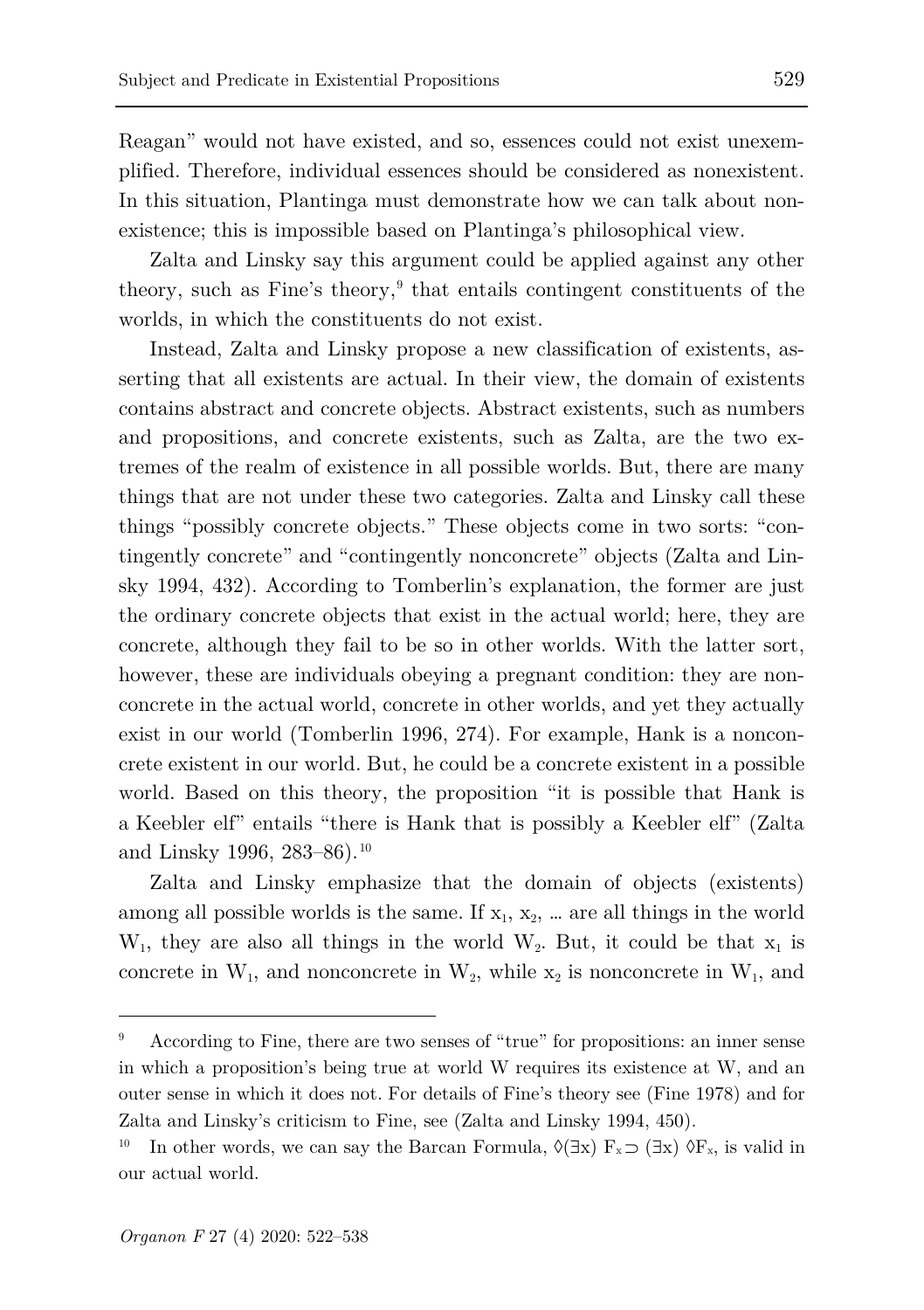Reagan" would not have existed, and so, essences could not exist unexemplified. Therefore, individual essences should be considered as nonexistent. In this situation, Plantinga must demonstrate how we can talk about nonexistence; this is impossible based on Plantinga's philosophical view.

Zalta and Linsky say this argument could be applied against any other theory, such as  $Fine's$  theory, $9$  that entails contingent constituents of the worlds, in which the constituents do not exist.

Instead, Zalta and Linsky propose a new classification of existents, asserting that all existents are actual. In their view, the domain of existents contains abstract and concrete objects. Abstract existents, such as numbers and propositions, and concrete existents, such as Zalta, are the two extremes of the realm of existence in all possible worlds. But, there are many things that are not under these two categories. Zalta and Linsky call these things "possibly concrete objects." These objects come in two sorts: "contingently concrete" and "contingently nonconcrete" objects (Zalta and Linsky 1994, 432). According to Tomberlin's explanation, the former are just the ordinary concrete objects that exist in the actual world; here, they are concrete, although they fail to be so in other worlds. With the latter sort, however, these are individuals obeying a pregnant condition: they are nonconcrete in the actual world, concrete in other worlds, and yet they actually exist in our world (Tomberlin 1996, 274). For example, Hank is a nonconcrete existent in our world. But, he could be a concrete existent in a possible world. Based on this theory, the proposition "it is possible that Hank is a Keebler elf" entails "there is Hank that is possibly a Keebler elf" (Zalta and Linsky 1996, 283–86).<sup>[10](#page-7-1)</sup>

Zalta and Linsky emphasize that the domain of objects (existents) among all possible worlds is the same. If  $x_1, x_2, ...$  are all things in the world  $W_1$ , they are also all things in the world  $W_2$ . But, it could be that  $x_1$  is concrete in  $W_1$ , and nonconcrete in  $W_2$ , while  $x_2$  is nonconcrete in  $W_1$ , and

<span id="page-7-0"></span><sup>9</sup> According to Fine, there are two senses of "true" for propositions: an inner sense in which a proposition's being true at world W requires its existence at W, and an outer sense in which it does not. For details of Fine's theory see (Fine 1978) and for Zalta and Linsky's criticism to Fine, see (Zalta and Linsky 1994, 450).

<span id="page-7-1"></span><sup>&</sup>lt;sup>10</sup> In other words, we can say the Barcan Formula,  $\Diamond(\exists x) F_x \supset (\exists x) \Diamond F_x$ , is valid in our actual world.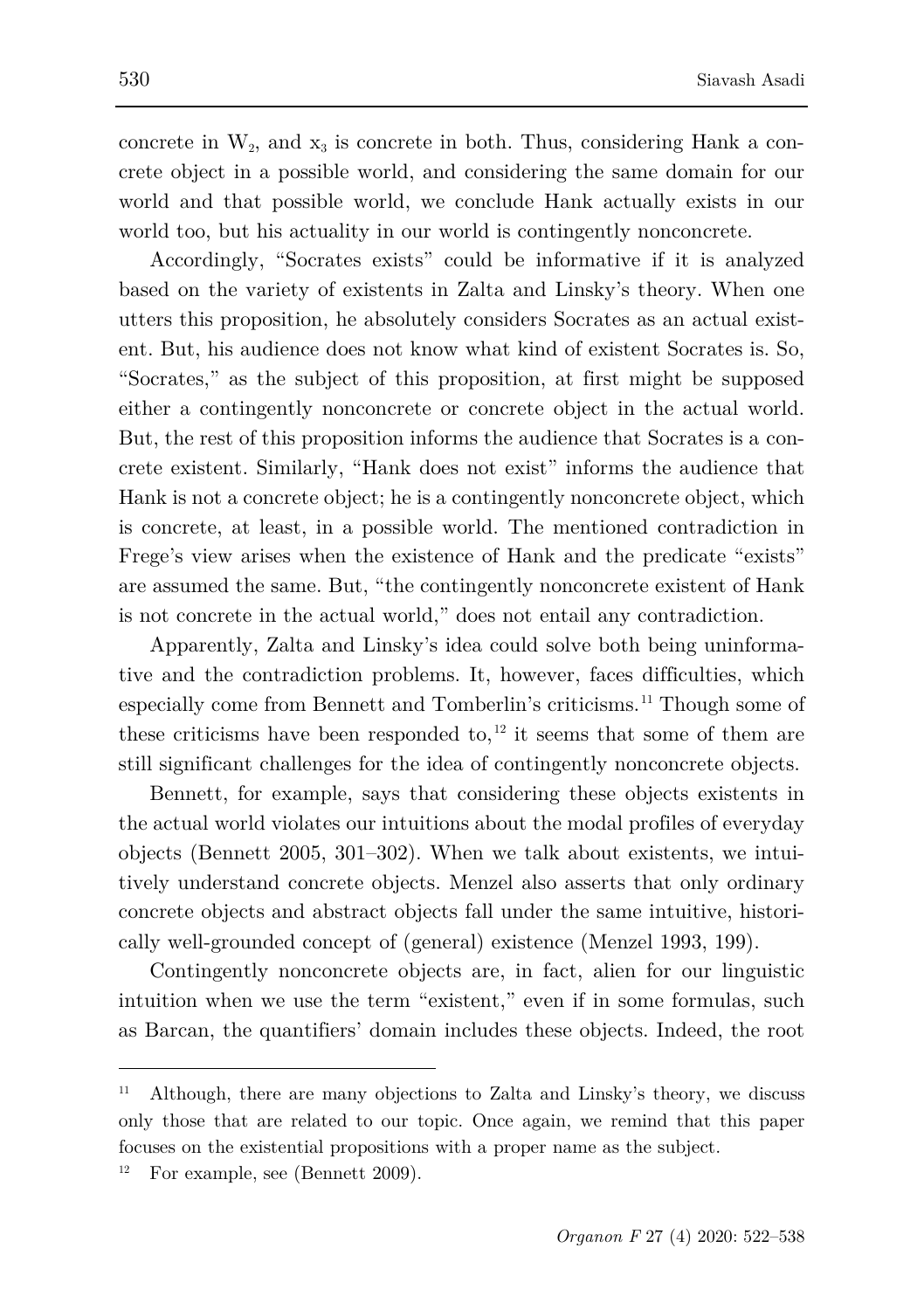concrete in  $W_2$ , and  $x_3$  is concrete in both. Thus, considering Hank a concrete object in a possible world, and considering the same domain for our world and that possible world, we conclude Hank actually exists in our world too, but his actuality in our world is contingently nonconcrete.

Accordingly, "Socrates exists" could be informative if it is analyzed based on the variety of existents in Zalta and Linsky's theory. When one utters this proposition, he absolutely considers Socrates as an actual existent. But, his audience does not know what kind of existent Socrates is. So, "Socrates," as the subject of this proposition, at first might be supposed either a contingently nonconcrete or concrete object in the actual world. But, the rest of this proposition informs the audience that Socrates is a concrete existent. Similarly, "Hank does not exist" informs the audience that Hank is not a concrete object; he is a contingently nonconcrete object, which is concrete, at least, in a possible world. The mentioned contradiction in Frege's view arises when the existence of Hank and the predicate "exists" are assumed the same. But, "the contingently nonconcrete existent of Hank is not concrete in the actual world," does not entail any contradiction.

Apparently, Zalta and Linsky's idea could solve both being uninformative and the contradiction problems. It, however, faces difficulties, which especially come from Bennett and Tomberlin's criticisms.[11](#page-8-0) Though some of these criticisms have been responded to,  $12$  it seems that some of them are still significant challenges for the idea of contingently nonconcrete objects.

Bennett, for example, says that considering these objects existents in the actual world violates our intuitions about the modal profiles of everyday objects (Bennett 2005, 301–302). When we talk about existents, we intuitively understand concrete objects. Menzel also asserts that only ordinary concrete objects and abstract objects fall under the same intuitive, historically well-grounded concept of (general) existence (Menzel 1993, 199).

Contingently nonconcrete objects are, in fact, alien for our linguistic intuition when we use the term "existent," even if in some formulas, such as Barcan, the quantifiers' domain includes these objects. Indeed, the root

<span id="page-8-0"></span><sup>&</sup>lt;sup>11</sup> Although, there are many objections to Zalta and Linsky's theory, we discuss only those that are related to our topic. Once again, we remind that this paper focuses on the existential propositions with a proper name as the subject.

<span id="page-8-1"></span><sup>&</sup>lt;sup>12</sup> For example, see (Bennett 2009).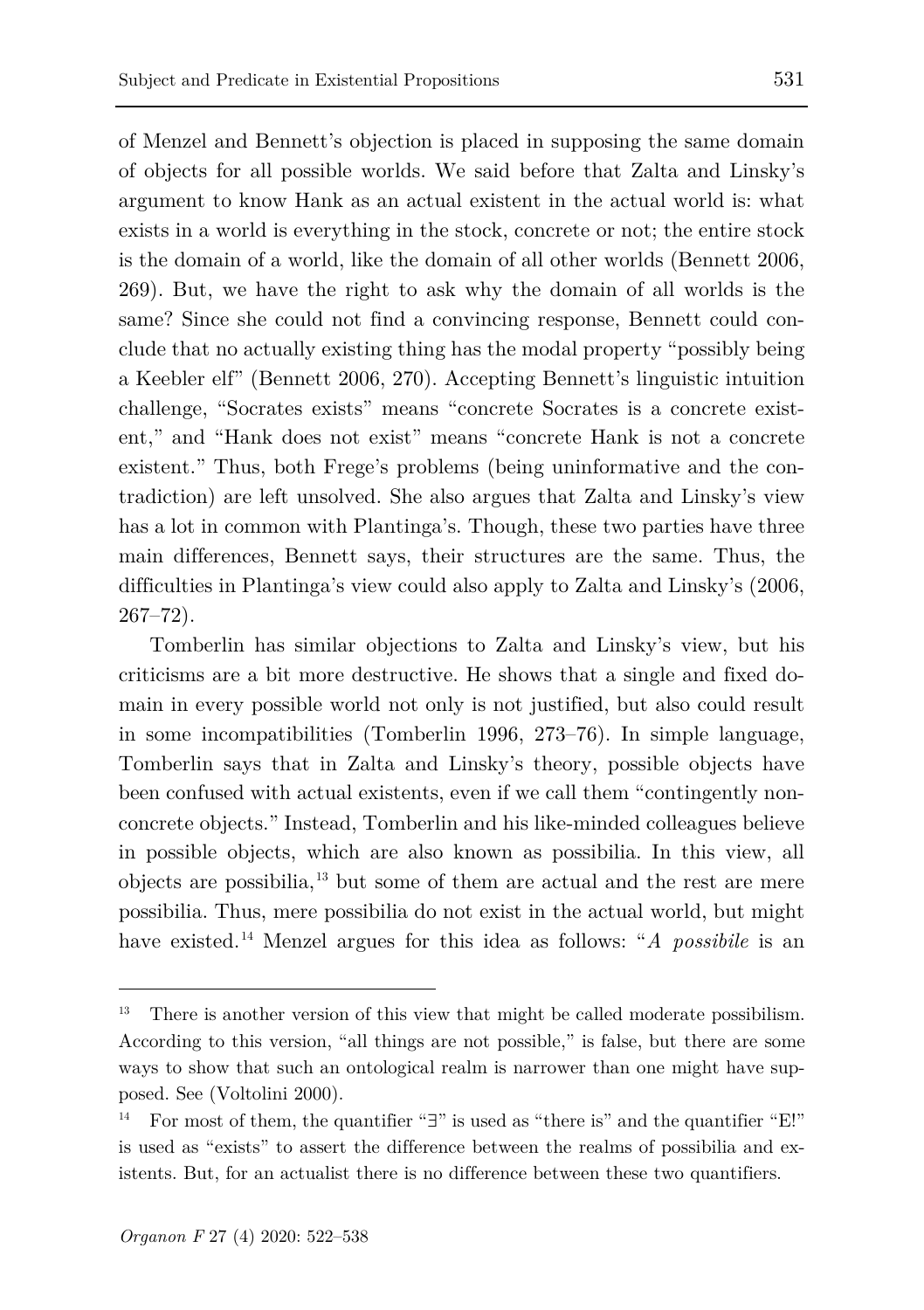of Menzel and Bennett's objection is placed in supposing the same domain of objects for all possible worlds. We said before that Zalta and Linsky's argument to know Hank as an actual existent in the actual world is: what exists in a world is everything in the stock, concrete or not; the entire stock is the domain of a world, like the domain of all other worlds (Bennett 2006, 269). But, we have the right to ask why the domain of all worlds is the same? Since she could not find a convincing response, Bennett could conclude that no actually existing thing has the modal property "possibly being a Keebler elf" (Bennett 2006, 270). Accepting Bennett's linguistic intuition challenge, "Socrates exists" means "concrete Socrates is a concrete existent," and "Hank does not exist" means "concrete Hank is not a concrete existent." Thus, both Frege's problems (being uninformative and the contradiction) are left unsolved. She also argues that Zalta and Linsky's view has a lot in common with Plantinga's. Though, these two parties have three main differences, Bennett says, their structures are the same. Thus, the difficulties in Plantinga's view could also apply to Zalta and Linsky's (2006, 267–72).

Tomberlin has similar objections to Zalta and Linsky's view, but his criticisms are a bit more destructive. He shows that a single and fixed domain in every possible world not only is not justified, but also could result in some incompatibilities (Tomberlin 1996, 273–76). In simple language, Tomberlin says that in Zalta and Linsky's theory, possible objects have been confused with actual existents, even if we call them "contingently nonconcrete objects." Instead, Tomberlin and his like-minded colleagues believe in possible objects, which are also known as possibilia. In this view, all objects are possibilia,[13](#page-9-0) but some of them are actual and the rest are mere possibilia. Thus, mere possibilia do not exist in the actual world, but might have existed.<sup>[14](#page-9-1)</sup> Menzel argues for this idea as follows: "*A possibile* is an

<span id="page-9-0"></span>There is another version of this view that might be called moderate possibilism. According to this version, "all things are not possible," is false, but there are some ways to show that such an ontological realm is narrower than one might have supposed. See (Voltolini 2000).

<span id="page-9-1"></span><sup>14</sup> For most of them, the quantifier "∃" is used as "there is" and the quantifier "E!" is used as "exists" to assert the difference between the realms of possibilia and existents. But, for an actualist there is no difference between these two quantifiers.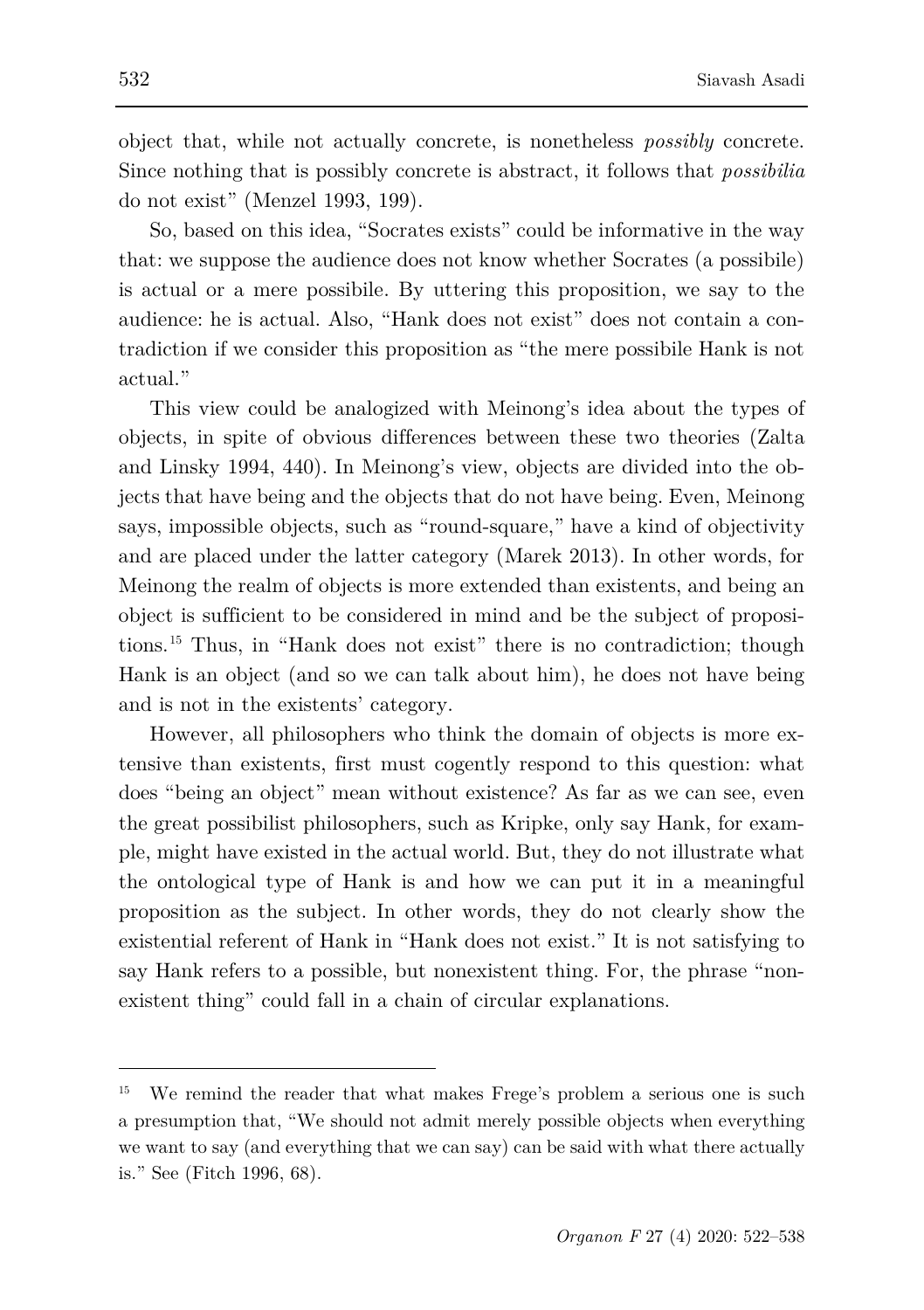object that, while not actually concrete, is nonetheless *possibly* concrete. Since nothing that is possibly concrete is abstract, it follows that *possibilia*  do not exist" (Menzel 1993, 199).

So, based on this idea, "Socrates exists" could be informative in the way that: we suppose the audience does not know whether Socrates (a possibile) is actual or a mere possibile. By uttering this proposition, we say to the audience: he is actual. Also, "Hank does not exist" does not contain a contradiction if we consider this proposition as "the mere possibile Hank is not actual."

This view could be analogized with Meinong's idea about the types of objects, in spite of obvious differences between these two theories (Zalta and Linsky 1994, 440). In Meinong's view, objects are divided into the objects that have being and the objects that do not have being. Even, Meinong says, impossible objects, such as "round-square," have a kind of objectivity and are placed under the latter category (Marek 2013). In other words, for Meinong the realm of objects is more extended than existents, and being an object is sufficient to be considered in mind and be the subject of propositions.[15](#page-10-0) Thus, in "Hank does not exist" there is no contradiction; though Hank is an object (and so we can talk about him), he does not have being and is not in the existents' category.

However, all philosophers who think the domain of objects is more extensive than existents, first must cogently respond to this question: what does "being an object" mean without existence? As far as we can see, even the great possibilist philosophers, such as Kripke, only say Hank, for example, might have existed in the actual world. But, they do not illustrate what the ontological type of Hank is and how we can put it in a meaningful proposition as the subject. In other words, they do not clearly show the existential referent of Hank in "Hank does not exist." It is not satisfying to say Hank refers to a possible, but nonexistent thing. For, the phrase "nonexistent thing" could fall in a chain of circular explanations.

<span id="page-10-0"></span>We remind the reader that what makes Frege's problem a serious one is such a presumption that, "We should not admit merely possible objects when everything we want to say (and everything that we can say) can be said with what there actually is." See (Fitch 1996, 68).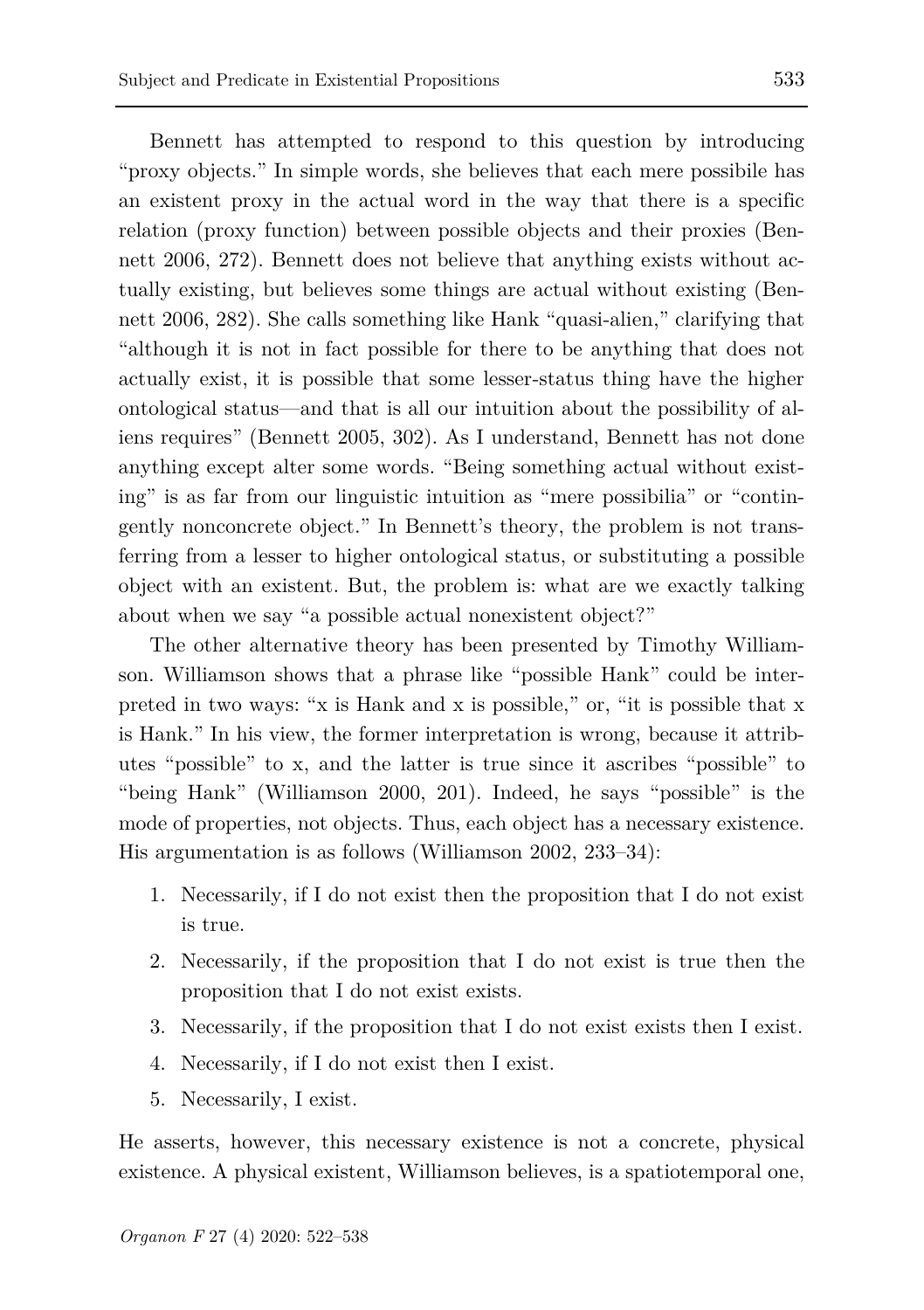Bennett has attempted to respond to this question by introducing "proxy objects." In simple words, she believes that each mere possibile has an existent proxy in the actual word in the way that there is a specific relation (proxy function) between possible objects and their proxies (Bennett 2006, 272). Bennett does not believe that anything exists without actually existing, but believes some things are actual without existing (Bennett 2006, 282). She calls something like Hank "quasi-alien," clarifying that "although it is not in fact possible for there to be anything that does not actually exist, it is possible that some lesser-status thing have the higher ontological status—and that is all our intuition about the possibility of aliens requires" (Bennett 2005, 302). As I understand, Bennett has not done anything except alter some words. "Being something actual without existing" is as far from our linguistic intuition as "mere possibilia" or "contingently nonconcrete object." In Bennett's theory, the problem is not transferring from a lesser to higher ontological status, or substituting a possible object with an existent. But, the problem is: what are we exactly talking about when we say "a possible actual nonexistent object?"

The other alternative theory has been presented by Timothy Williamson. Williamson shows that a phrase like "possible Hank" could be interpreted in two ways: "x is Hank and x is possible," or, "it is possible that x is Hank." In his view, the former interpretation is wrong, because it attributes "possible" to x, and the latter is true since it ascribes "possible" to "being Hank" (Williamson 2000, 201). Indeed, he says "possible" is the mode of properties, not objects. Thus, each object has a necessary existence. His argumentation is as follows (Williamson 2002, 233–34):

- 1. Necessarily, if I do not exist then the proposition that I do not exist is true.
- 2. Necessarily, if the proposition that I do not exist is true then the proposition that I do not exist exists.
- 3. Necessarily, if the proposition that I do not exist exists then I exist.
- 4. Necessarily, if I do not exist then I exist.
- 5. Necessarily, I exist.

He asserts, however, this necessary existence is not a concrete, physical existence. A physical existent, Williamson believes, is a spatiotemporal one,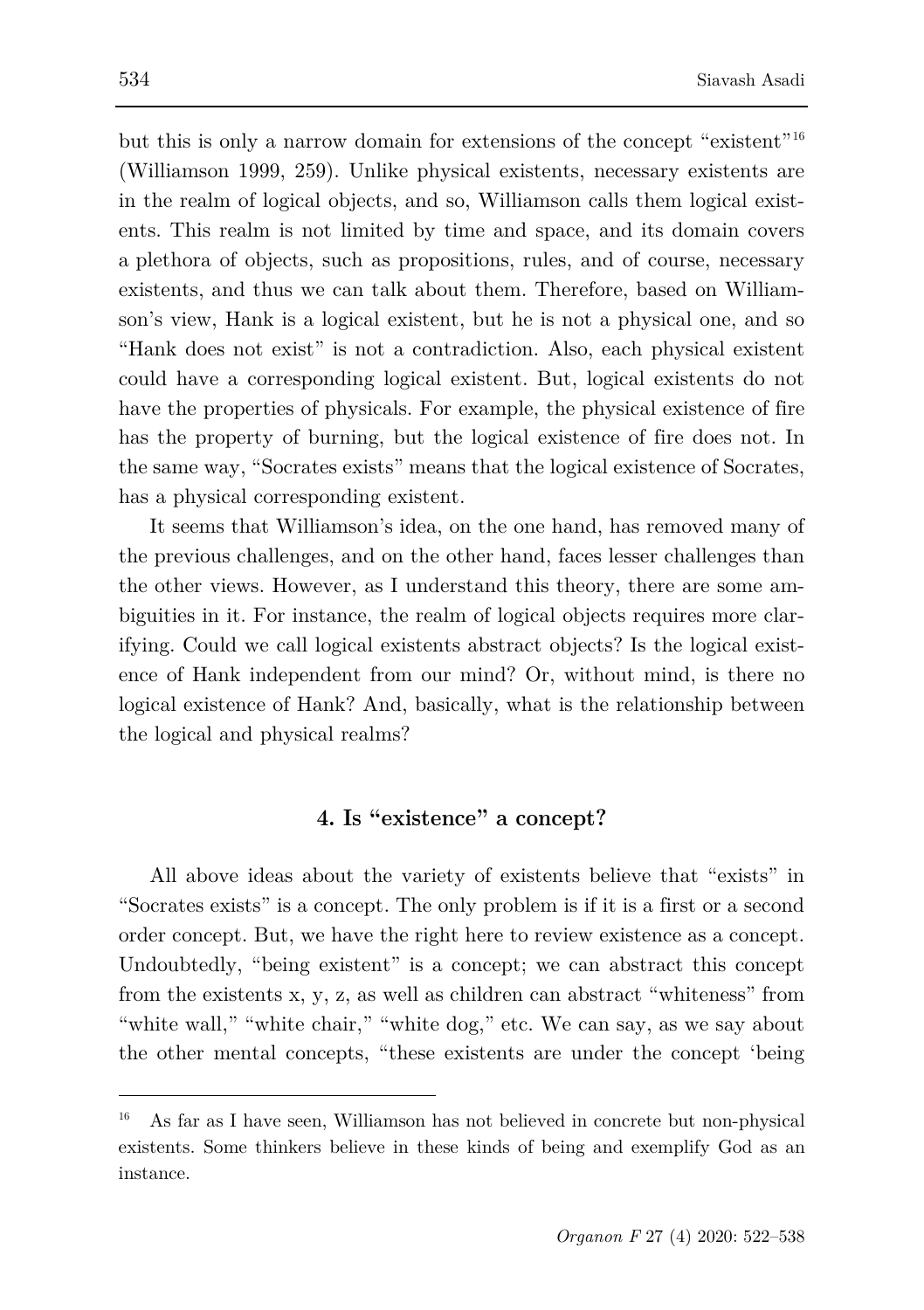but this is only a narrow domain for extensions of the concept "existent"<sup>[16](#page-12-0)</sup> (Williamson 1999, 259). Unlike physical existents, necessary existents are in the realm of logical objects, and so, Williamson calls them logical existents. This realm is not limited by time and space, and its domain covers a plethora of objects, such as propositions, rules, and of course, necessary existents, and thus we can talk about them. Therefore, based on Williamson's view, Hank is a logical existent, but he is not a physical one, and so "Hank does not exist" is not a contradiction. Also, each physical existent could have a corresponding logical existent. But, logical existents do not have the properties of physicals. For example, the physical existence of fire has the property of burning, but the logical existence of fire does not. In the same way, "Socrates exists" means that the logical existence of Socrates, has a physical corresponding existent.

It seems that Williamson's idea, on the one hand, has removed many of the previous challenges, and on the other hand, faces lesser challenges than the other views. However, as I understand this theory, there are some ambiguities in it. For instance, the realm of logical objects requires more clarifying. Could we call logical existents abstract objects? Is the logical existence of Hank independent from our mind? Or, without mind, is there no logical existence of Hank? And, basically, what is the relationship between the logical and physical realms?

## **4. Is "existence" a concept?**

All above ideas about the variety of existents believe that "exists" in "Socrates exists" is a concept. The only problem is if it is a first or a second order concept. But, we have the right here to review existence as a concept. Undoubtedly, "being existent" is a concept; we can abstract this concept from the existents x, y, z, as well as children can abstract "whiteness" from "white wall," "white chair," "white dog," etc. We can say, as we say about the other mental concepts, "these existents are under the concept 'being

<span id="page-12-0"></span><sup>16</sup> As far as I have seen, Williamson has not believed in concrete but non-physical existents. Some thinkers believe in these kinds of being and exemplify God as an instance.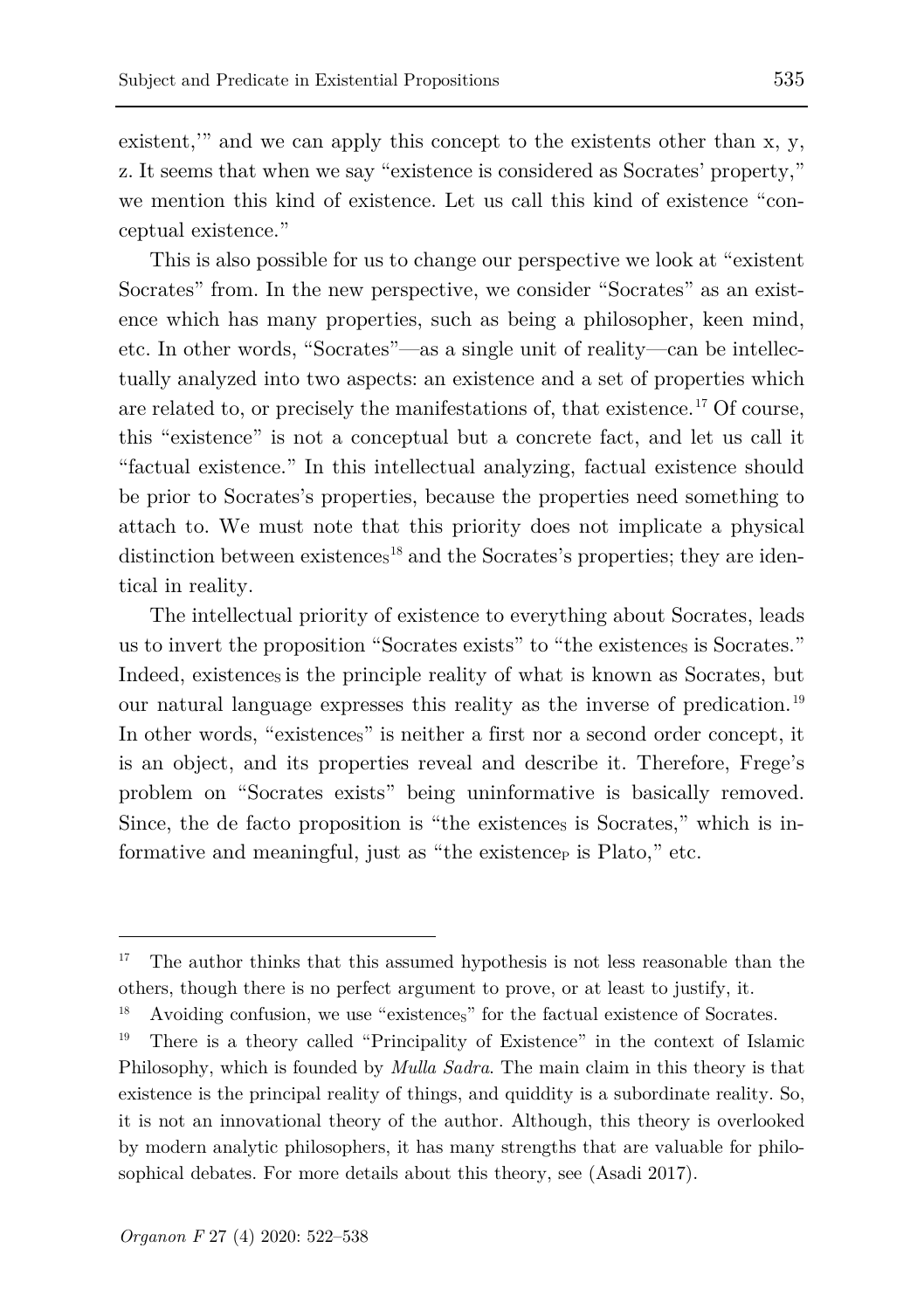existent," and we can apply this concept to the existents other than x, y, z. It seems that when we say "existence is considered as Socrates' property," we mention this kind of existence. Let us call this kind of existence "conceptual existence."

This is also possible for us to change our perspective we look at "existent Socrates" from. In the new perspective, we consider "Socrates" as an existence which has many properties, such as being a philosopher, keen mind, etc. In other words, "Socrates"—as a single unit of reality—can be intellectually analyzed into two aspects: an existence and a set of properties which are related to, or precisely the manifestations of, that existence.[17](#page-13-0) Of course, this "existence" is not a conceptual but a concrete fact, and let us call it "factual existence." In this intellectual analyzing, factual existence should be prior to Socrates's properties, because the properties need something to attach to. We must note that this priority does not implicate a physical distinction between existence<sub>s</sub><sup>[18](#page-13-1)</sup> and the Socrates's properties; they are identical in reality.

The intellectual priority of existence to everything about Socrates, leads us to invert the proposition "Socrates exists" to "the existences is Socrates." Indeed, existences is the principle reality of what is known as Socrates, but our natural language expresses this reality as the inverse of predication. [19](#page-13-2) In other words, "existences" is neither a first nor a second order concept, it is an object, and its properties reveal and describe it. Therefore, Frege's problem on "Socrates exists" being uninformative is basically removed. Since, the de facto proposition is "the existences is Socrates," which is informative and meaningful, just as "the existence<sub>P</sub> is Plato," etc.

<span id="page-13-0"></span><sup>&</sup>lt;sup>17</sup> The author thinks that this assumed hypothesis is not less reasonable than the others, though there is no perfect argument to prove, or at least to justify, it.

<span id="page-13-1"></span>Avoiding confusion, we use "existences" for the factual existence of Socrates.

<span id="page-13-2"></span><sup>19</sup> There is a theory called "Principality of Existence" in the context of Islamic Philosophy, which is founded by *Mulla Sadra*. The main claim in this theory is that existence is the principal reality of things, and quiddity is a subordinate reality. So, it is not an innovational theory of the author. Although, this theory is overlooked by modern analytic philosophers, it has many strengths that are valuable for philosophical debates. For more details about this theory, see (Asadi 2017).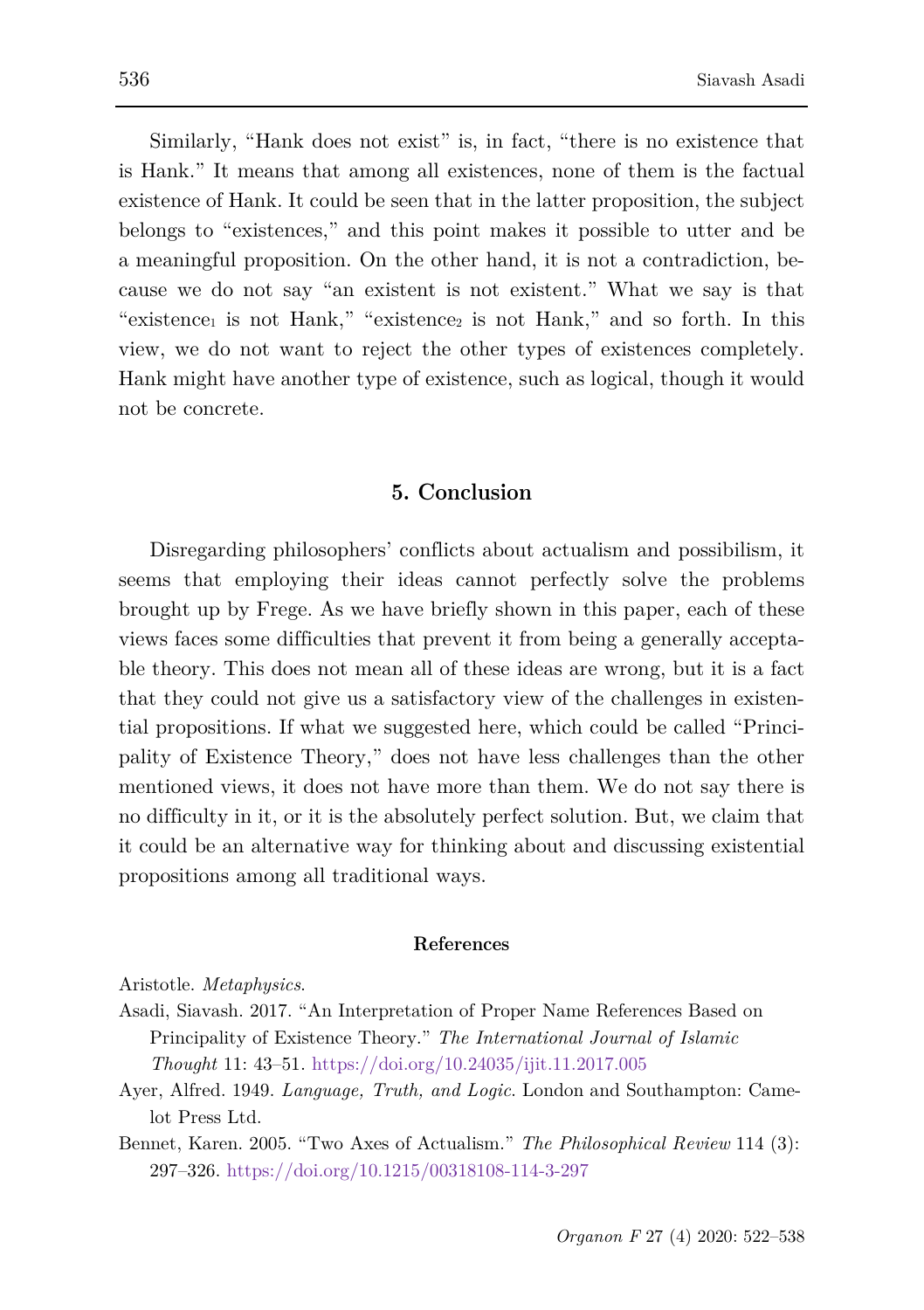Similarly, "Hank does not exist" is, in fact, "there is no existence that is Hank." It means that among all existences, none of them is the factual existence of Hank. It could be seen that in the latter proposition, the subject belongs to "existences," and this point makes it possible to utter and be a meaningful proposition. On the other hand, it is not a contradiction, because we do not say "an existent is not existent." What we say is that "existence<sub>1</sub> is not Hank," "existence<sub>2</sub> is not Hank," and so forth. In this view, we do not want to reject the other types of existences completely. Hank might have another type of existence, such as logical, though it would not be concrete.

#### **5. Conclusion**

Disregarding philosophers' conflicts about actualism and possibilism, it seems that employing their ideas cannot perfectly solve the problems brought up by Frege. As we have briefly shown in this paper, each of these views faces some difficulties that prevent it from being a generally acceptable theory. This does not mean all of these ideas are wrong, but it is a fact that they could not give us a satisfactory view of the challenges in existential propositions. If what we suggested here, which could be called "Principality of Existence Theory," does not have less challenges than the other mentioned views, it does not have more than them. We do not say there is no difficulty in it, or it is the absolutely perfect solution. But, we claim that it could be an alternative way for thinking about and discussing existential propositions among all traditional ways.

#### **References**

Aristotle. *Metaphysics*.

- Asadi, Siavash. 2017. "An Interpretation of Proper Name References Based on Principality of Existence Theory." *The International Journal of Islamic Thought* 11: 43–51.<https://doi.org/10.24035/ijit.11.2017.005>
- Ayer, Alfred. 1949. *Language, Truth, and Logic*. London and Southampton: Camelot Press Ltd.

Bennet, Karen. 2005. "Two Axes of Actualism." *The Philosophical Review* 114 (3): 297–326.<https://doi.org/10.1215/00318108-114-3-297>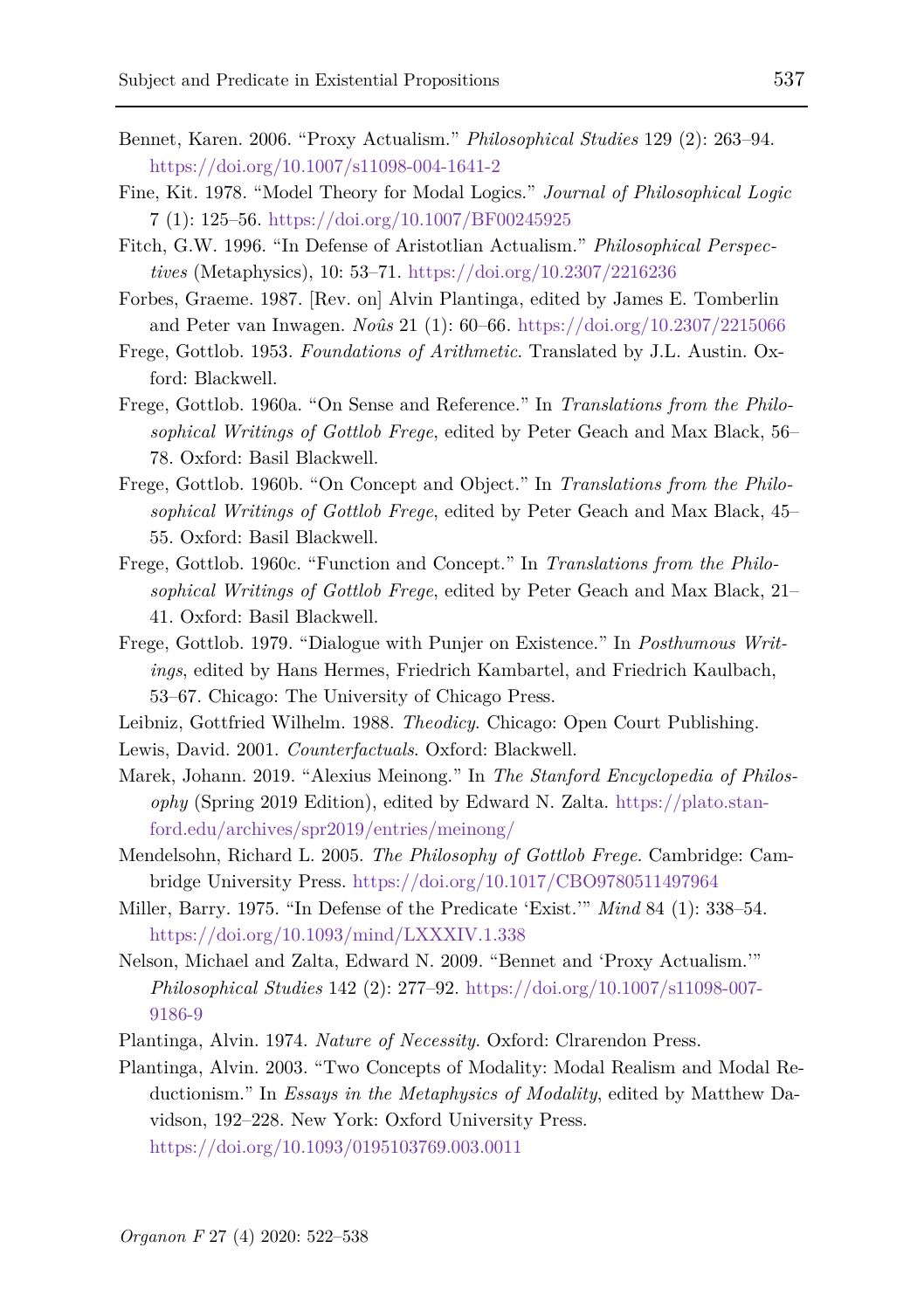- Bennet, Karen. 2006. "Proxy Actualism." *Philosophical Studies* 129 (2): 263–94. <https://doi.org/10.1007/s11098-004-1641-2>
- Fine, Kit. 1978. "Model Theory for Modal Logics." *Journal of Philosophical Logic* 7 (1): 125–56.<https://doi.org/10.1007/BF00245925>
- Fitch, G.W. 1996. "In Defense of Aristotlian Actualism." *Philosophical Perspectives* (Metaphysics), 10: 53–71.<https://doi.org/10.2307/2216236>
- Forbes, Graeme. 1987. [Rev. on] Alvin Plantinga, edited by James E. Tomberlin and Peter van Inwagen. *Noûs* 21 (1): 60–66. <https://doi.org/10.2307/2215066>
- Frege, Gottlob. 1953. *Foundations of Arithmetic*. Translated by J.L. Austin. Oxford: Blackwell.
- Frege, Gottlob. 1960a. "On Sense and Reference." In *Translations from the Philosophical Writings of Gottlob Frege*, edited by Peter Geach and Max Black, 56– 78. Oxford: Basil Blackwell.
- Frege, Gottlob. 1960b. "On Concept and Object." In *Translations from the Philosophical Writings of Gottlob Frege*, edited by Peter Geach and Max Black, 45– 55. Oxford: Basil Blackwell.
- Frege, Gottlob. 1960c. "Function and Concept." In *Translations from the Philosophical Writings of Gottlob Frege*, edited by Peter Geach and Max Black, 21– 41. Oxford: Basil Blackwell.
- Frege, Gottlob. 1979. "Dialogue with Punjer on Existence." In *Posthumous Writings*, edited by Hans Hermes, Friedrich Kambartel, and Friedrich Kaulbach, 53–67. Chicago: The University of Chicago Press.
- Leibniz, Gottfried Wilhelm. 1988. *Theodicy*. Chicago: Open Court Publishing.
- Lewis, David. 2001. *Counterfactuals*. Oxford: Blackwell.
- Marek, Johann. 2019. "Alexius Meinong." In *The Stanford Encyclopedia of Philosophy* (Spring 2019 Edition), edited by Edward N. Zalta. [https://plato.stan](https://plato.stanford.edu/archives/spr2019/entries/meinong/)[ford.edu/archives/spr2019/entries/meinong/](https://plato.stanford.edu/archives/spr2019/entries/meinong/)
- Mendelsohn, Richard L. 2005. *The Philosophy of Gottlob Frege*. Cambridge: Cambridge University Press.<https://doi.org/10.1017/CBO9780511497964>
- Miller, Barry. 1975. "In Defense of the Predicate 'Exist.'" *Mind* 84 (1): 338–54. <https://doi.org/10.1093/mind/LXXXIV.1.338>
- Nelson, Michael and Zalta, Edward N. 2009. "Bennet and 'Proxy Actualism.'" *Philosophical Studies* 142 (2): 277–92. [https://doi.org/10.1007/s11098-007-](https://doi.org/10.1007/s11098-007-9186-9) [9186-9](https://doi.org/10.1007/s11098-007-9186-9)
- Plantinga, Alvin. 1974. *Nature of Necessity*. Oxford: Clrarendon Press.
- Plantinga, Alvin. 2003. "Two Concepts of Modality: Modal Realism and Modal Reductionism." In *Essays in the Metaphysics of Modality*, edited by Matthew Davidson, 192–228. New York: Oxford University Press. <https://doi.org/10.1093/0195103769.003.0011>